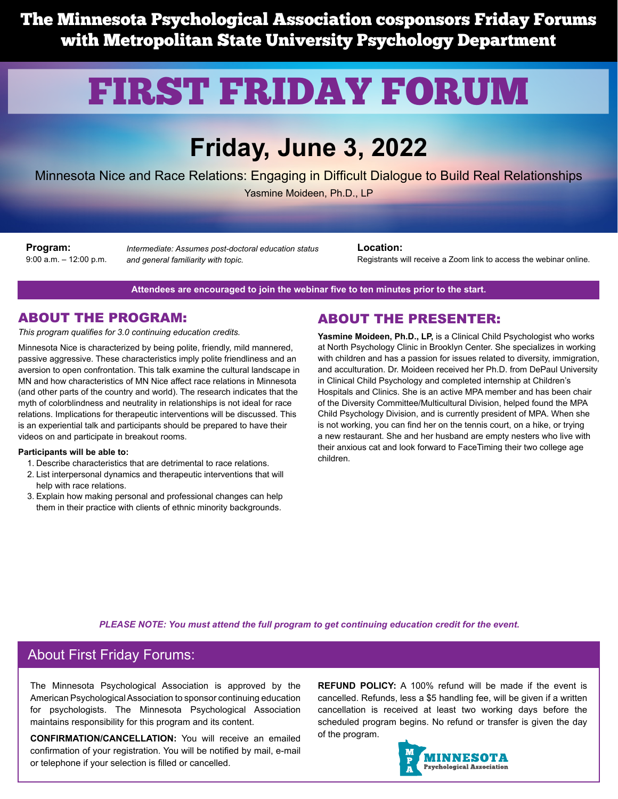The Minnesota Psychological Association cosponsors Friday Forums with Metropolitan State University Psychology Department

# FIRST FRIDAY FORUM

# **Friday, June 3, 2022**

Minnesota Nice and Race Relations: Engaging in Difficult Dialogue to Build Real Relationships

Yasmine Moideen, Ph.D., LP

**Program:** 9:00 a.m. – 12:00 p.m.

*Intermediate: Assumes post-doctoral education status and general familiarity with topic.*

**Location:**

Registrants will receive a Zoom link to access the webinar online.

**Attendees are encouraged to join the webinar five to ten minutes prior to the start.**

#### ABOUT THE PROGRAM:

*This program qualifies for 3.0 continuing education credits.*

Minnesota Nice is characterized by being polite, friendly, mild mannered, passive aggressive. These characteristics imply polite friendliness and an aversion to open confrontation. This talk examine the cultural landscape in MN and how characteristics of MN Nice affect race relations in Minnesota (and other parts of the country and world). The research indicates that the myth of colorblindness and neutrality in relationships is not ideal for race relations. Implications for therapeutic interventions will be discussed. This is an experiential talk and participants should be prepared to have their videos on and participate in breakout rooms.

#### **Participants will be able to:**

- 1. Describe characteristics that are detrimental to race relations.
- 2. List interpersonal dynamics and therapeutic interventions that will help with race relations.
- 3. Explain how making personal and professional changes can help them in their practice with clients of ethnic minority backgrounds.

#### ABOUT THE PRESENTER:

**Yasmine Moideen, Ph.D., LP,** is a Clinical Child Psychologist who works at North Psychology Clinic in Brooklyn Center. She specializes in working with children and has a passion for issues related to diversity, immigration, and acculturation. Dr. Moideen received her Ph.D. from DePaul University in Clinical Child Psychology and completed internship at Children's Hospitals and Clinics. She is an active MPA member and has been chair of the Diversity Committee/Multicultural Division, helped found the MPA Child Psychology Division, and is currently president of MPA. When she is not working, you can find her on the tennis court, on a hike, or trying a new restaurant. She and her husband are empty nesters who live with their anxious cat and look forward to FaceTiming their two college age children.

*PLEASE NOTE: You must attend the full program to get continuing education credit for the event.*

#### About First Friday Forums:

The Minnesota Psychological Association is approved by the American Psychological Association to sponsor continuing education for psychologists. The Minnesota Psychological Association maintains responsibility for this program and its content.

**CONFIRMATION/CANCELLATION:** You will receive an emailed confirmation of your registration. You will be notified by mail, e-mail or telephone if your selection is filled or cancelled.

**REFUND POLICY:** A 100% refund will be made if the event is cancelled. Refunds, less a \$5 handling fee, will be given if a written cancellation is received at least two working days before the scheduled program begins. No refund or transfer is given the day of the program.